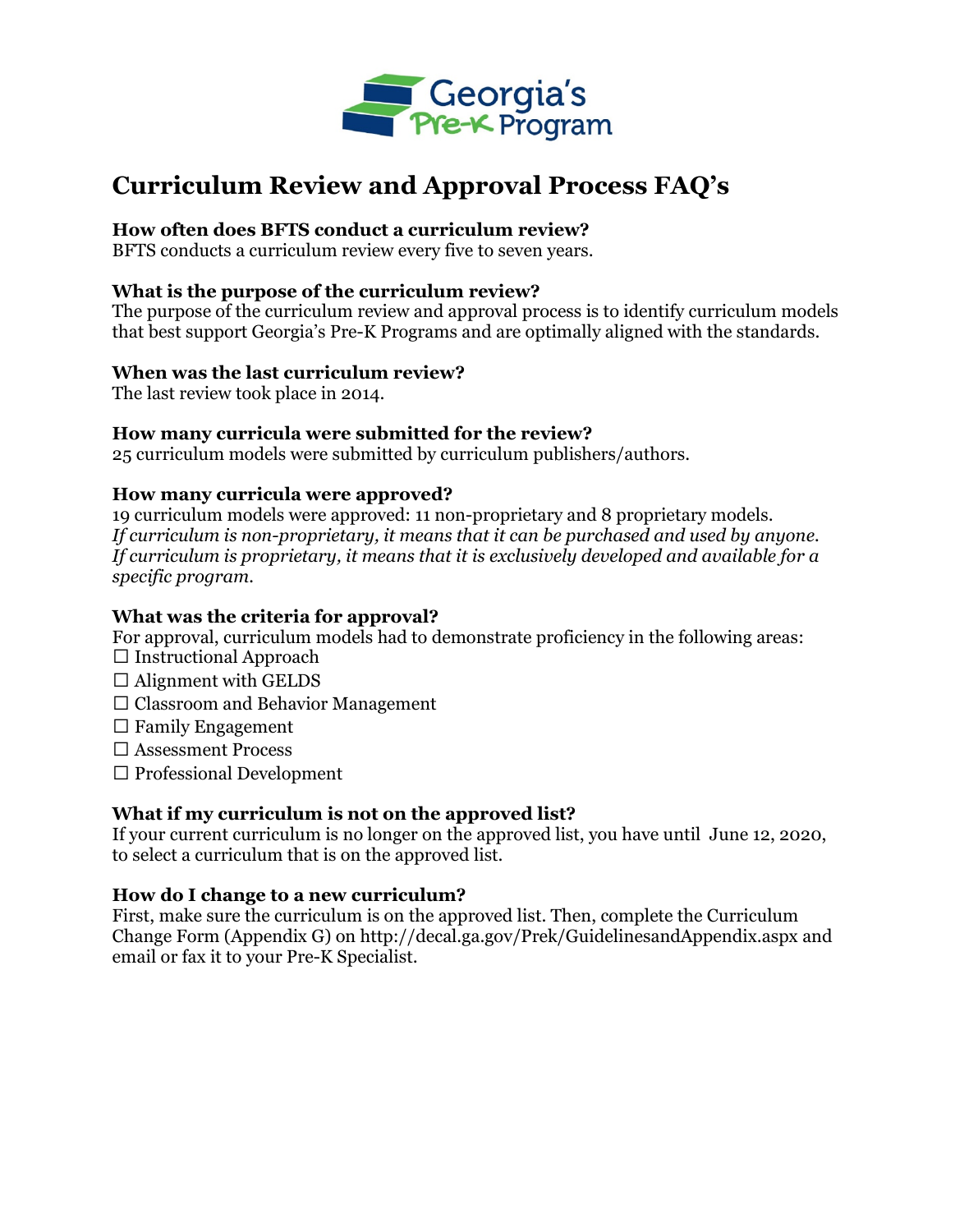

# **Curriculum Review and Approval Process FAQ's**

## **How often does BFTS conduct a curriculum review?**

BFTS conducts a curriculum review every five to seven years.

#### **What is the purpose of the curriculum review?**

The purpose of the curriculum review and approval process is to identify curriculum models that best support Georgia's Pre-K Programs and are optimally aligned with the standards.

#### **When was the last curriculum review?**

The last review took place in 2014.

#### **How many curricula were submitted for the review?**

25 curriculum models were submitted by curriculum publishers/authors.

#### **How many curricula were approved?**

19 curriculum models were approved: 11 non-proprietary and 8 proprietary models. *If curriculum is non-proprietary, it means that it can be purchased and used by anyone. If curriculum is proprietary, it means that it is exclusively developed and available for a specific program.* 

#### **What was the criteria for approval?**

For approval, curriculum models had to demonstrate proficiency in the following areas:

- $\Box$  Instructional Approach
- $\Box$  Alignment with GELDS
- $\Box$  Classroom and Behavior Management
- $\Box$  Family Engagement
- □ Assessment Process
- $\square$  Professional Development

# **What if my curriculum is not on the approved list?**

If your current curriculum is no longer on the approved list, you have until June 12, 2020, to select a curriculum that is on the approved list.

#### **How do I change to a new curriculum?**

First, make sure the curriculum is on the approved list. Then, complete the Curriculum Change Form (Appendix G) on http://decal.ga.gov/Prek/GuidelinesandAppendix.aspx and email or fax it to your Pre-K Specialist.